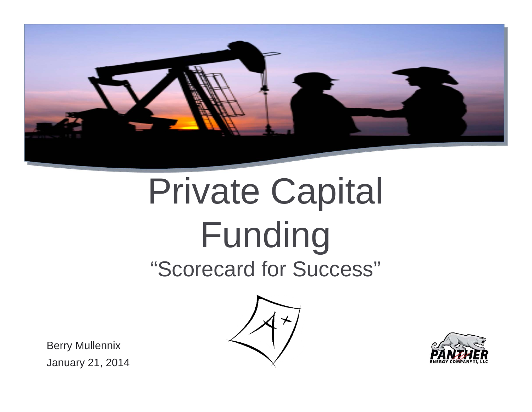

# Private Capital Funding "Scorecard for Success"





Berry Mullennix January 21, 2014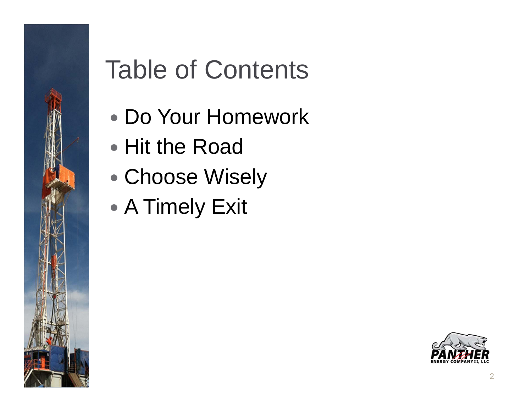

 $\bullet$ 

 $\bullet$ 

Table of Contents

Do Your Homework

• Hit the Road

A Timely Exit

Choose Wisely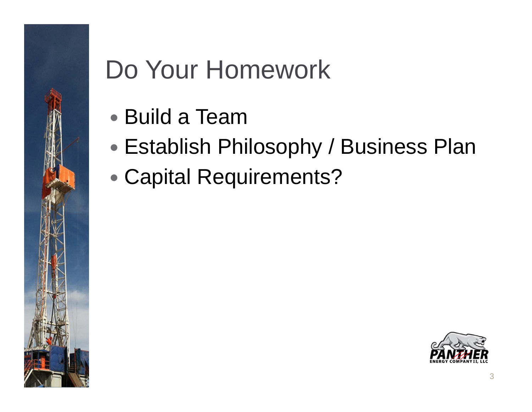## Do Your Homework

- Build a Team
- $\bullet$ Establish Philosophy / Business Plan
- $\bullet$ Capital Requirements?

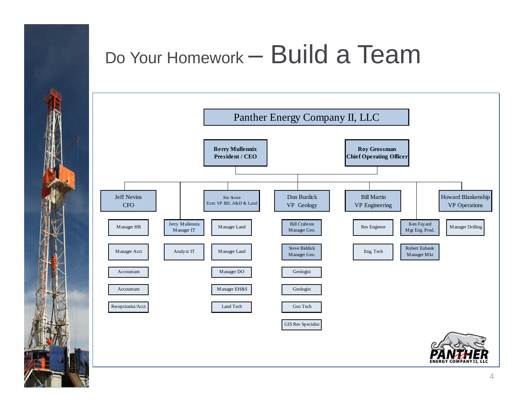### Do Your Homework – Build a Team

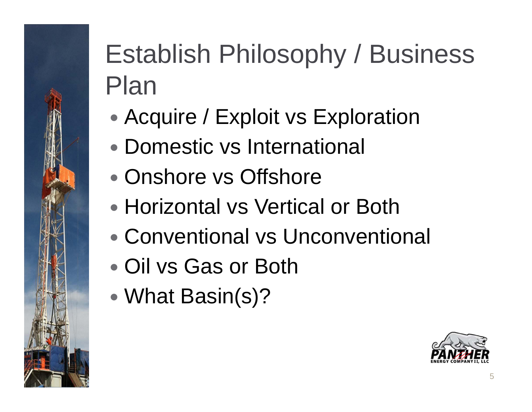# Establish Philosophy / Business Plan

- $\bullet$ • Acquire / Exploit vs Exploration
- Domestic vs International
- Onshore vs Offshore
- Horizontal vs Vertical or Both
- Conventional vs Unconventional
- Oil vs Gas or Both
- $\bullet$ What Basin(s)?

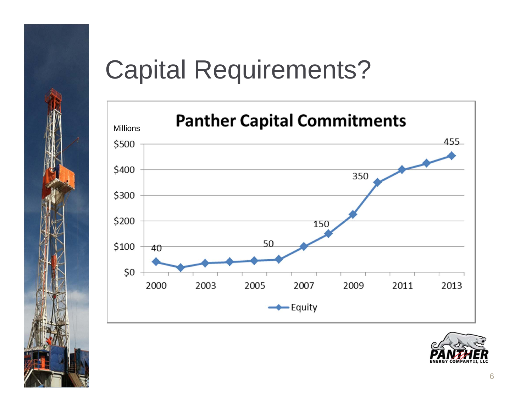

#### Capital Requirements?



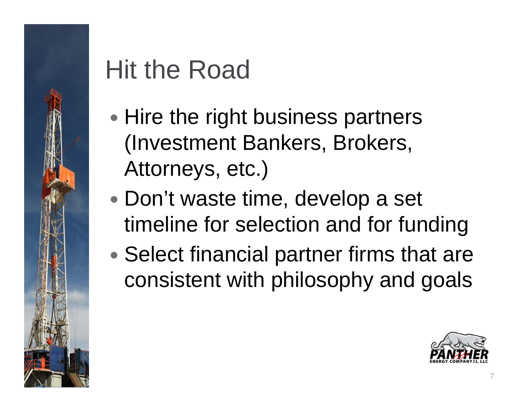# Hit the Road

- $\bullet$ • Hire the right business partners (Investment Bankers, Brokers, Attorneys, etc.)
- $\bullet$  Don't waste time, develop a set timeline for selection and for funding
- $\bullet$ • Select financial partner firms that are consistent with philosophy and goals

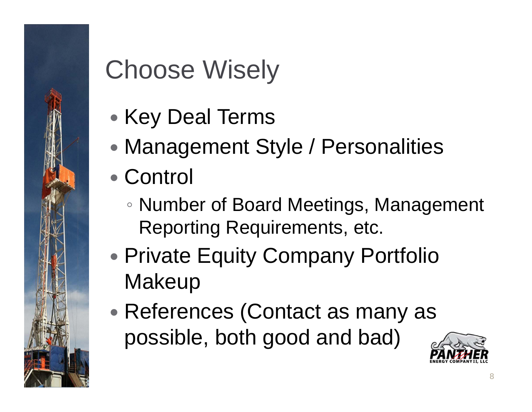# Choose Wisely

- $\bullet$ • Key Deal Terms
- $\bullet$ Management Style / Personalities
- Control
	- Number of Board Meetings, Management Reporting Requirements, etc.
- $\bullet$ • Private Equity Company Portfolio **Makeup**
- $\bullet$ • References (Contact as many as possible, both good and bad)

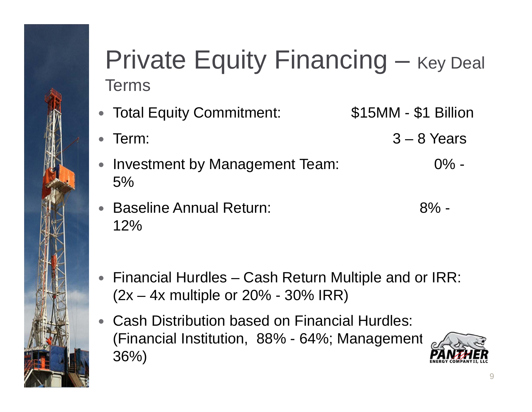#### Private Equity Financing – Key Deal Terms

- Total Equity Commitment: \$15MM \$1 Billion  $\bullet$  Term: 3 – 8 Years  $\bullet$
- Investment by Management Team: 0% 5%
- Baseline Annual Return: 8% 12%
- $\bullet$  Financial Hurdles – Cash Return Multiple and or IRR:  $(2x – 4x$  multiple or  $20% – 30%$  IRR)
- Cash Distribution based on Financial Hurdles: (Financial Institution,  $88\%$  -  $64\%$ ; Management 36%)

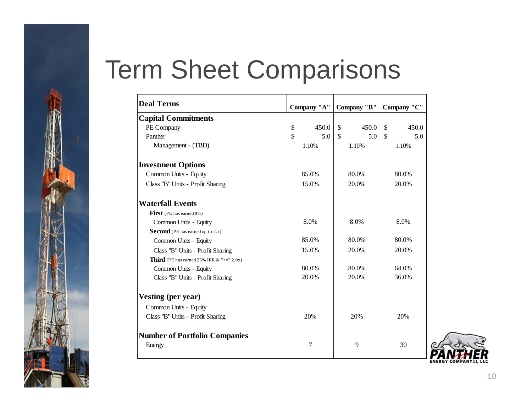### Term Sheet Comparisons

| <b>Deal Terms</b>                                       | Company "A"    |    | Company "B" |              | Company "C" |  |
|---------------------------------------------------------|----------------|----|-------------|--------------|-------------|--|
| <b>Capital Commitments</b>                              |                |    |             |              |             |  |
| PE Company                                              | \$<br>450.0    | \$ | 450.0       | $\mathbb{S}$ | 450.0       |  |
| Panther                                                 | \$<br>5.0      | \$ | 5.0         | $\mathbb{S}$ | 5.0         |  |
| Management - (TBD)                                      | 1.10%          |    | 1.10%       |              | 1.10%       |  |
| <b>Investment Options</b>                               |                |    |             |              |             |  |
| Common Units - Equity                                   | 85.0%          |    | 80.0%       |              | 80.0%       |  |
| Class "B" Units - Profit Sharing                        | 15.0%          |    | 20.0%       |              | 20.0%       |  |
| <b>Waterfall Events</b>                                 |                |    |             |              |             |  |
| <b>First</b> (PE has earned 8%)                         |                |    |             |              |             |  |
| Common Units - Equity                                   | 8.0%           |    | 8.0%        |              | 8.0%        |  |
| <b>Second</b> (PE has earned up to 2.x)                 |                |    |             |              |             |  |
| Common Units - Equity                                   | 85.0%          |    | 80.0%       |              | 80.0%       |  |
| Class "B" Units - Profit Sharing                        | 15.0%          |    | 20.0%       |              | 20.0%       |  |
| <b>Third</b> (PE has earned 25% IRR $\&$ " $>=$ " 2.0x) |                |    |             |              |             |  |
| Common Units - Equity                                   | 80.0%          |    | 80.0%       |              | 64.0%       |  |
| Class "B" Units - Profit Sharing                        | 20.0%          |    | 20.0%       |              | 36.0%       |  |
| <b>Vesting (per year)</b>                               |                |    |             |              |             |  |
| Common Units - Equity                                   |                |    |             |              |             |  |
| Class "B" Units - Profit Sharing                        | 20%            |    | 20%         |              | 20%         |  |
| <b>Number of Portfolio Companies</b>                    |                |    |             |              |             |  |
| Energy                                                  | $\overline{7}$ |    | 9           |              | 30          |  |

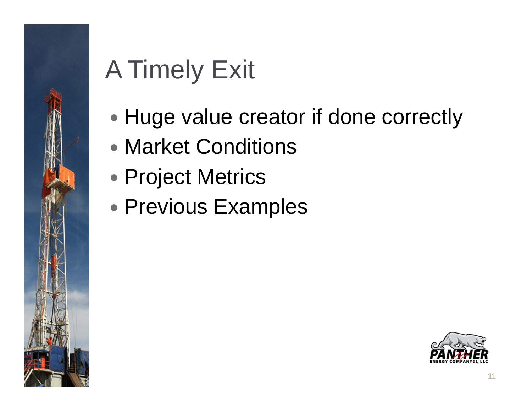# A Timely Exit

- $\bullet$ • Huge value creator if done correctly
- Market Conditions
- $\bullet$ Project Metrics
- $\bullet$ Previous Examples

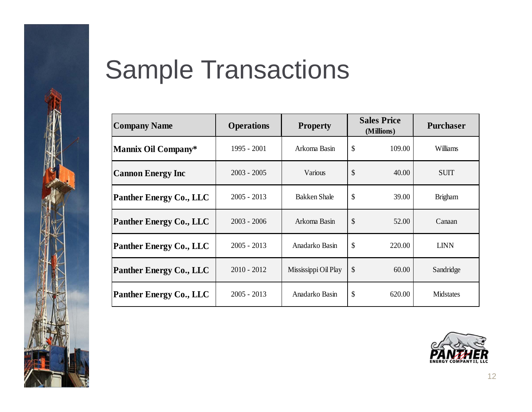

### Sample Transactions

| <b>Company Name</b>            | <b>Operations</b> | <b>Property</b>      | <b>Sales Price</b><br>(Millions) |        | <b>Purchaser</b> |  |
|--------------------------------|-------------------|----------------------|----------------------------------|--------|------------------|--|
| <b>Mannix Oil Company*</b>     | 1995 - 2001       | Arkoma Basin         | \$<br>109.00                     |        | Williams         |  |
| <b>Cannon Energy Inc</b>       | $2003 - 2005$     | Various              | \$                               | 40.00  | <b>SUIT</b>      |  |
| Panther Energy Co., LLC        | $2005 - 2013$     | <b>Bakken Shale</b>  | \$                               | 39.00  | <b>Brigham</b>   |  |
| <b>Panther Energy Co., LLC</b> | $2003 - 2006$     | Arkoma Basin         | \$                               | 52.00  | Canaan           |  |
| Panther Energy Co., LLC        | $2005 - 2013$     | Anadarko Basin       | \$                               | 220.00 | <b>LINN</b>      |  |
| <b>Panther Energy Co., LLC</b> | $2010 - 2012$     | Mississippi Oil Play | \$                               | 60.00  | Sandridge        |  |
| <b>Panther Energy Co., LLC</b> | $2005 - 2013$     | Anadarko Basin       | \$                               | 620.00 | <b>Midstates</b> |  |

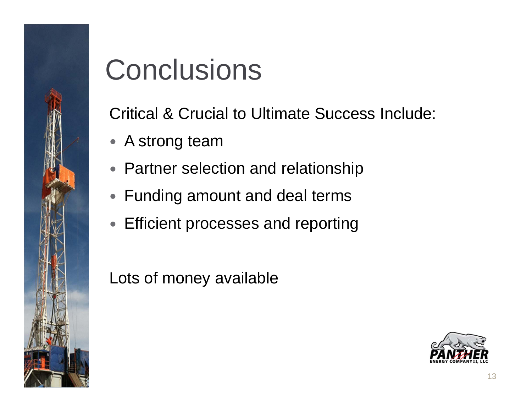

# **Conclusions**

Critical & Crucial to Ultimate Success Include:

- A strong team
- Partner selection and relationship
- Funding amount and deal terms
- Efficient processes and reporting

Lots of money available